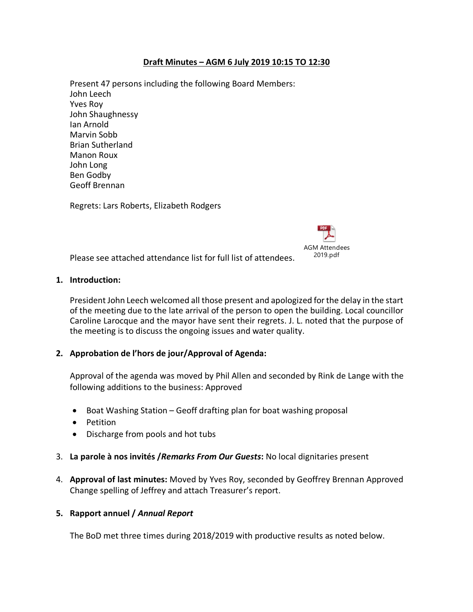# **Draft Minutes – AGM 6 July 2019 10:15 TO 12:30**

Present 47 persons including the following Board Members: John Leech Yves Roy John Shaughnessy Ian Arnold Marvin Sobb Brian Sutherland Manon Roux John Long Ben Godby Geoff Brennan

Regrets: Lars Roberts, Elizabeth Rodgers



Please see attached attendance list for full list of attendees.

#### **1. Introduction:**

President John Leech welcomed all those present and apologized for the delay in the start of the meeting due to the late arrival of the person to open the building. Local councillor Caroline Larocque and the mayor have sent their regrets. J. L. noted that the purpose of the meeting is to discuss the ongoing issues and water quality.

## **2. Approbation de l'hors de jour/Approval of Agenda:**

Approval of the agenda was moved by Phil Allen and seconded by Rink de Lange with the following additions to the business: Approved

- Boat Washing Station Geoff drafting plan for boat washing proposal
- Petition
- Discharge from pools and hot tubs
- 3. **La parole à nos invités /***Remarks From Our Guests***:** No local dignitaries present
- 4. **Approval of last minutes:** Moved by Yves Roy, seconded by Geoffrey Brennan Approved Change spelling of Jeffrey and attach Treasurer's report.

## **5. Rapport annuel /** *Annual Report*

The BoD met three times during 2018/2019 with productive results as noted below.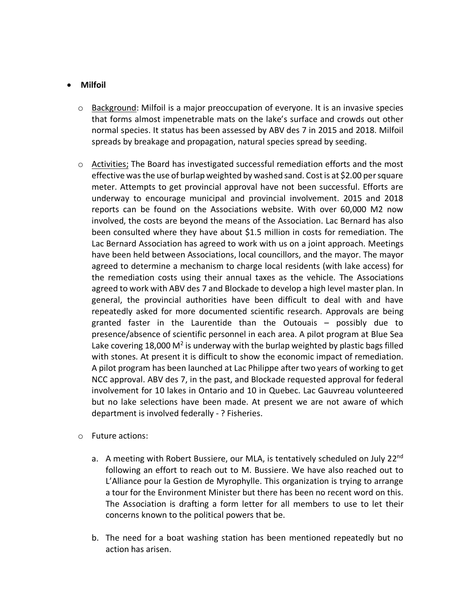# • **Milfoil**

- $\circ$  Background: Milfoil is a major preoccupation of everyone. It is an invasive species that forms almost impenetrable mats on the lake's surface and crowds out other normal species. It status has been assessed by ABV des 7 in 2015 and 2018. Milfoil spreads by breakage and propagation, natural species spread by seeding.
- o Activities; The Board has investigated successful remediation efforts and the most effective was the use of burlap weighted by washed sand. Costis at \$2.00 per square meter. Attempts to get provincial approval have not been successful. Efforts are underway to encourage municipal and provincial involvement. 2015 and 2018 reports can be found on the Associations website. With over 60,000 M2 now involved, the costs are beyond the means of the Association. Lac Bernard has also been consulted where they have about \$1.5 million in costs for remediation. The Lac Bernard Association has agreed to work with us on a joint approach. Meetings have been held between Associations, local councillors, and the mayor. The mayor agreed to determine a mechanism to charge local residents (with lake access) for the remediation costs using their annual taxes as the vehicle. The Associations agreed to work with ABV des 7 and Blockade to develop a high level master plan. In general, the provincial authorities have been difficult to deal with and have repeatedly asked for more documented scientific research. Approvals are being granted faster in the Laurentide than the Outouais – possibly due to presence/absence of scientific personnel in each area. A pilot program at Blue Sea Lake covering 18,000  $M^2$  is underway with the burlap weighted by plastic bags filled with stones. At present it is difficult to show the economic impact of remediation. A pilot program has been launched at Lac Philippe after two years of working to get NCC approval. ABV des 7, in the past, and Blockade requested approval for federal involvement for 10 lakes in Ontario and 10 in Quebec. Lac Gauvreau volunteered but no lake selections have been made. At present we are not aware of which department is involved federally - ? Fisheries.
- o Future actions:
	- a. A meeting with Robert Bussiere, our MLA, is tentatively scheduled on July 22<sup>nd</sup> following an effort to reach out to M. Bussiere. We have also reached out to L'Alliance pour la Gestion de Myrophylle. This organization is trying to arrange a tour for the Environment Minister but there has been no recent word on this. The Association is drafting a form letter for all members to use to let their concerns known to the political powers that be.
	- b. The need for a boat washing station has been mentioned repeatedly but no action has arisen.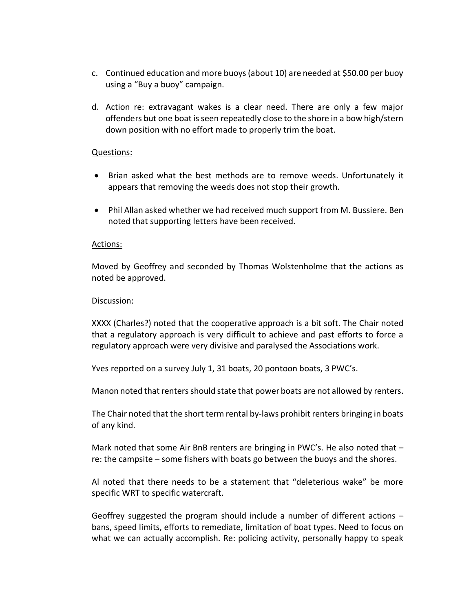- c. Continued education and more buoys (about 10) are needed at \$50.00 per buoy using a "Buy a buoy" campaign.
- d. Action re: extravagant wakes is a clear need. There are only a few major offenders but one boat is seen repeatedly close to the shore in a bow high/stern down position with no effort made to properly trim the boat.

### Questions:

- Brian asked what the best methods are to remove weeds. Unfortunately it appears that removing the weeds does not stop their growth.
- Phil Allan asked whether we had received much support from M. Bussiere. Ben noted that supporting letters have been received.

#### Actions:

Moved by Geoffrey and seconded by Thomas Wolstenholme that the actions as noted be approved.

#### Discussion:

XXXX (Charles?) noted that the cooperative approach is a bit soft. The Chair noted that a regulatory approach is very difficult to achieve and past efforts to force a regulatory approach were very divisive and paralysed the Associations work.

Yves reported on a survey July 1, 31 boats, 20 pontoon boats, 3 PWC's.

Manon noted that renters should state that power boats are not allowed by renters.

The Chair noted that the short term rental by-laws prohibit renters bringing in boats of any kind.

Mark noted that some Air BnB renters are bringing in PWC's. He also noted that  $$ re: the campsite – some fishers with boats go between the buoys and the shores.

Al noted that there needs to be a statement that "deleterious wake" be more specific WRT to specific watercraft.

Geoffrey suggested the program should include a number of different actions – bans, speed limits, efforts to remediate, limitation of boat types. Need to focus on what we can actually accomplish. Re: policing activity, personally happy to speak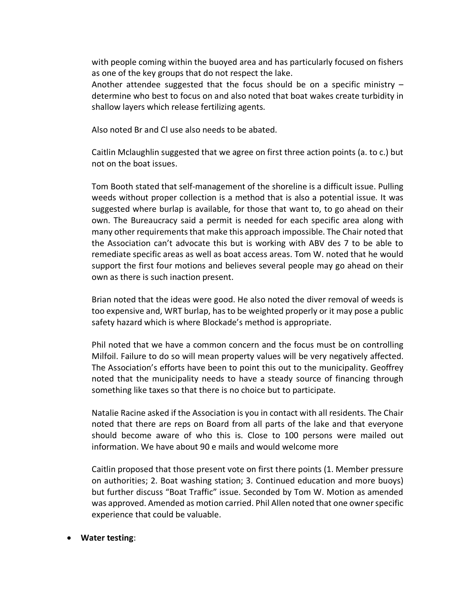with people coming within the buoyed area and has particularly focused on fishers as one of the key groups that do not respect the lake.

Another attendee suggested that the focus should be on a specific ministry  $$ determine who best to focus on and also noted that boat wakes create turbidity in shallow layers which release fertilizing agents.

Also noted Br and Cl use also needs to be abated.

Caitlin Mclaughlin suggested that we agree on first three action points (a. to c.) but not on the boat issues.

Tom Booth stated that self-management of the shoreline is a difficult issue. Pulling weeds without proper collection is a method that is also a potential issue. It was suggested where burlap is available, for those that want to, to go ahead on their own. The Bureaucracy said a permit is needed for each specific area along with many other requirements that make this approach impossible. The Chair noted that the Association can't advocate this but is working with ABV des 7 to be able to remediate specific areas as well as boat access areas. Tom W. noted that he would support the first four motions and believes several people may go ahead on their own as there is such inaction present.

Brian noted that the ideas were good. He also noted the diver removal of weeds is too expensive and, WRT burlap, has to be weighted properly or it may pose a public safety hazard which is where Blockade's method is appropriate.

Phil noted that we have a common concern and the focus must be on controlling Milfoil. Failure to do so will mean property values will be very negatively affected. The Association's efforts have been to point this out to the municipality. Geoffrey noted that the municipality needs to have a steady source of financing through something like taxes so that there is no choice but to participate.

Natalie Racine asked if the Association is you in contact with all residents. The Chair noted that there are reps on Board from all parts of the lake and that everyone should become aware of who this is. Close to 100 persons were mailed out information. We have about 90 e mails and would welcome more

Caitlin proposed that those present vote on first there points (1. Member pressure on authorities; 2. Boat washing station; 3. Continued education and more buoys) but further discuss "Boat Traffic" issue. Seconded by Tom W. Motion as amended was approved. Amended as motion carried. Phil Allen noted that one owner specific experience that could be valuable.

#### • **Water testing**: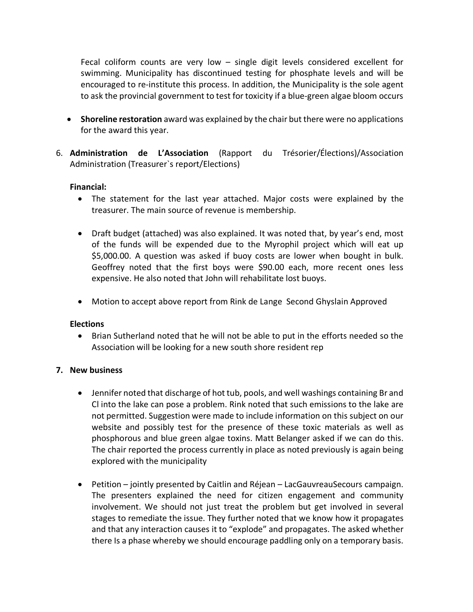Fecal coliform counts are very low – single digit levels considered excellent for swimming. Municipality has discontinued testing for phosphate levels and will be encouraged to re-institute this process. In addition, the Municipality is the sole agent to ask the provincial government to test for toxicity if a blue-green algae bloom occurs

- **Shoreline restoration** award was explained by the chair but there were no applications for the award this year.
- 6. **Administration de L'Association** (Rapport du Trésorier/Élections)/Association Administration (Treasurer`s report/Elections)

## **Financial:**

- The statement for the last year attached. Major costs were explained by the treasurer. The main source of revenue is membership.
- Draft budget (attached) was also explained. It was noted that, by year's end, most of the funds will be expended due to the Myrophil project which will eat up \$5,000.00. A question was asked if buoy costs are lower when bought in bulk. Geoffrey noted that the first boys were \$90.00 each, more recent ones less expensive. He also noted that John will rehabilitate lost buoys.
- Motion to accept above report from Rink de Lange Second Ghyslain Approved

## **Elections**

• Brian Sutherland noted that he will not be able to put in the efforts needed so the Association will be looking for a new south shore resident rep

## **7. New business**

- Jennifer noted that discharge of hot tub, pools, and well washings containing Br and Cl into the lake can pose a problem. Rink noted that such emissions to the lake are not permitted. Suggestion were made to include information on this subject on our website and possibly test for the presence of these toxic materials as well as phosphorous and blue green algae toxins. Matt Belanger asked if we can do this. The chair reported the process currently in place as noted previously is again being explored with the municipality
- Petition jointly presented by Caitlin and Réjean LacGauvreauSecours campaign. The presenters explained the need for citizen engagement and community involvement. We should not just treat the problem but get involved in several stages to remediate the issue. They further noted that we know how it propagates and that any interaction causes it to "explode" and propagates. The asked whether there Is a phase whereby we should encourage paddling only on a temporary basis.